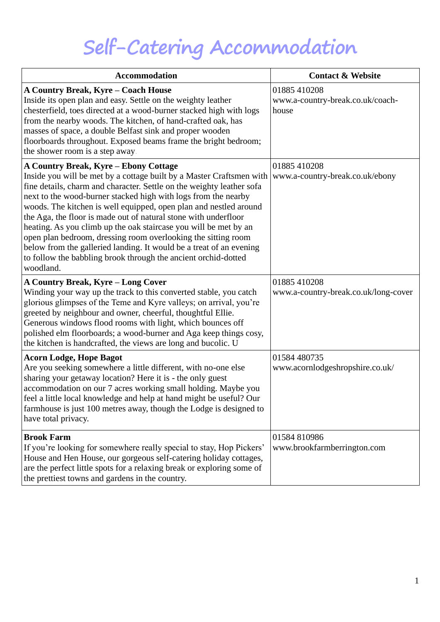| <b>Accommodation</b>                                                                                                                                                                                                                                                                                                                                                                                                                                                                                                                                                                                                                                                                               | <b>Contact &amp; Website</b>                              |
|----------------------------------------------------------------------------------------------------------------------------------------------------------------------------------------------------------------------------------------------------------------------------------------------------------------------------------------------------------------------------------------------------------------------------------------------------------------------------------------------------------------------------------------------------------------------------------------------------------------------------------------------------------------------------------------------------|-----------------------------------------------------------|
| <b>A Country Break, Kyre - Coach House</b><br>Inside its open plan and easy. Settle on the weighty leather<br>chesterfield, toes directed at a wood-burner stacked high with logs<br>from the nearby woods. The kitchen, of hand-crafted oak, has<br>masses of space, a double Belfast sink and proper wooden<br>floorboards throughout. Exposed beams frame the bright bedroom;<br>the shower room is a step away.                                                                                                                                                                                                                                                                                | 01885 410208<br>www.a-country-break.co.uk/coach-<br>house |
| <b>A Country Break, Kyre - Ebony Cottage</b><br>Inside you will be met by a cottage built by a Master Craftsmen with<br>fine details, charm and character. Settle on the weighty leather sofa<br>next to the wood-burner stacked high with logs from the nearby<br>woods. The kitchen is well equipped, open plan and nestled around<br>the Aga, the floor is made out of natural stone with underfloor<br>heating. As you climb up the oak staircase you will be met by an<br>open plan bedroom, dressing room overlooking the sitting room<br>below from the galleried landing. It would be a treat of an evening<br>to follow the babbling brook through the ancient orchid-dotted<br>woodland. | 01885 410208<br>www.a-country-break.co.uk/ebony           |
| <b>A Country Break, Kyre - Long Cover</b><br>Winding your way up the track to this converted stable, you catch<br>glorious glimpses of the Teme and Kyre valleys; on arrival, you're<br>greeted by neighbour and owner, cheerful, thoughtful Ellie.<br>Generous windows flood rooms with light, which bounces off<br>polished elm floorboards; a wood-burner and Aga keep things cosy,<br>the kitchen is handcrafted, the views are long and bucolic. U                                                                                                                                                                                                                                            | 01885 410208<br>www.a-country-break.co.uk/long-cover      |
| <b>Acorn Lodge, Hope Bagot</b><br>Are you seeking somewhere a little different, with no-one else<br>sharing your getaway location? Here it is - the only guest<br>accommodation on our 7 acres working small holding. Maybe you<br>feel a little local knowledge and help at hand might be useful? Our<br>farmhouse is just 100 metres away, though the Lodge is designed to<br>have total privacy.                                                                                                                                                                                                                                                                                                | 01584 480735<br>www.acornlodgeshropshire.co.uk/           |
| <b>Brook Farm</b><br>If you're looking for somewhere really special to stay, Hop Pickers'<br>House and Hen House, our gorgeous self-catering holiday cottages,<br>are the perfect little spots for a relaxing break or exploring some of<br>the prettiest towns and gardens in the country.                                                                                                                                                                                                                                                                                                                                                                                                        | 01584 810986<br>www.brookfarmberrington.com               |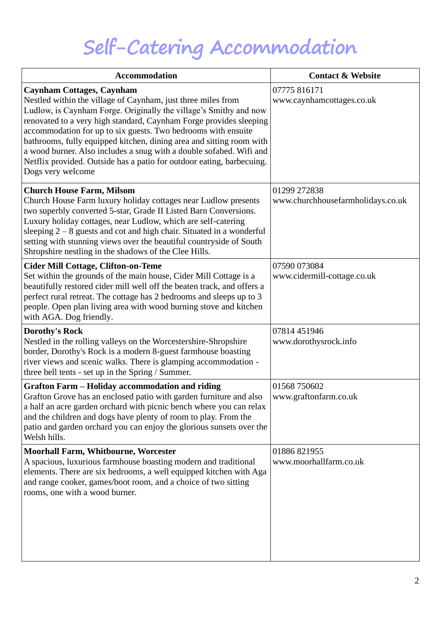| <b>Accommodation</b>                                                                                                                                                                                                                                                                                                                                                                                                                                                                                                                                      | <b>Contact &amp; Website</b>                      |
|-----------------------------------------------------------------------------------------------------------------------------------------------------------------------------------------------------------------------------------------------------------------------------------------------------------------------------------------------------------------------------------------------------------------------------------------------------------------------------------------------------------------------------------------------------------|---------------------------------------------------|
| <b>Caynham Cottages, Caynham</b><br>Nestled within the village of Caynham, just three miles from<br>Ludlow, is Caynham Forge. Originally the village's Smithy and now<br>renovated to a very high standard, Caynham Forge provides sleeping<br>accommodation for up to six guests. Two bedrooms with ensuite<br>bathrooms, fully equipped kitchen, dining area and sitting room with<br>a wood burner. Also includes a snug with a double sofabed. Wifi and<br>Netflix provided. Outside has a patio for outdoor eating, barbecuing.<br>Dogs very welcome | 07775 816171<br>www.caynhamcottages.co.uk         |
| <b>Church House Farm, Milsom</b><br>Church House Farm luxury holiday cottages near Ludlow presents<br>two superbly converted 5-star, Grade II Listed Barn Conversions.<br>Luxury holiday cottages, near Ludlow, which are self-catering<br>sleeping $2 - 8$ guests and cot and high chair. Situated in a wonderful<br>setting with stunning views over the beautiful countryside of South<br>Shropshire nestling in the shadows of the Clee Hills.                                                                                                        | 01299 272838<br>www.churchhousefarmholidays.co.uk |
| <b>Cider Mill Cottage, Clifton-on-Teme</b><br>Set within the grounds of the main house, Cider Mill Cottage is a<br>beautifully restored cider mill well off the beaten track, and offers a<br>perfect rural retreat. The cottage has 2 bedrooms and sleeps up to 3<br>people. Open plan living area with wood burning stove and kitchen<br>with AGA. Dog friendly.                                                                                                                                                                                        | 07590 073084<br>www.cidermill-cottage.co.uk       |
| <b>Dorothy's Rock</b><br>Nestled in the rolling valleys on the Worcestershire-Shropshire<br>border, Dorothy's Rock is a modern 8-guest farmhouse boasting<br>river views and scenic walks. There is glamping accommodation -<br>three bell tents - set up in the Spring / Summer.                                                                                                                                                                                                                                                                         | 07814 451946<br>www.dorothysrock.info             |
| <b>Grafton Farm - Holiday accommodation and riding</b><br>Grafton Grove has an enclosed patio with garden furniture and also<br>a half an acre garden orchard with picnic bench where you can relax<br>and the children and dogs have plenty of room to play. From the<br>patio and garden orchard you can enjoy the glorious sunsets over the<br>Welsh hills.                                                                                                                                                                                            | 01568 750602<br>www.graftonfarm.co.uk             |
| <b>Moorhall Farm, Whitbourne, Worcester</b><br>A spacious, luxurious farmhouse boasting modern and traditional<br>elements. There are six bedrooms, a well equipped kitchen with Aga<br>and range cooker, games/boot room, and a choice of two sitting<br>rooms, one with a wood burner.                                                                                                                                                                                                                                                                  | 01886 821955<br>www.moorhallfarm.co.uk            |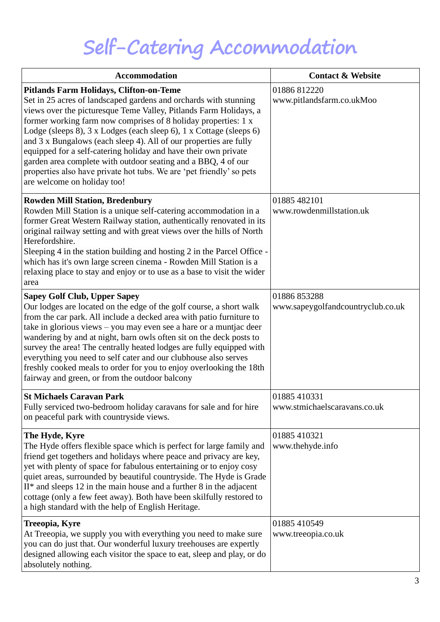| <b>Accommodation</b>                                                                                                                                                                                                                                                                                                                                                                                                                                                                                                                                                                                                                             | <b>Contact &amp; Website</b>                      |
|--------------------------------------------------------------------------------------------------------------------------------------------------------------------------------------------------------------------------------------------------------------------------------------------------------------------------------------------------------------------------------------------------------------------------------------------------------------------------------------------------------------------------------------------------------------------------------------------------------------------------------------------------|---------------------------------------------------|
| <b>Pitlands Farm Holidays, Clifton-on-Teme</b><br>Set in 25 acres of landscaped gardens and orchards with stunning<br>views over the picturesque Teme Valley, Pitlands Farm Holidays, a<br>former working farm now comprises of 8 holiday properties: 1 x<br>Lodge (sleeps 8), 3 x Lodges (each sleep 6), 1 x Cottage (sleeps 6)<br>and 3 x Bungalows (each sleep 4). All of our properties are fully<br>equipped for a self-catering holiday and have their own private<br>garden area complete with outdoor seating and a BBQ, 4 of our<br>properties also have private hot tubs. We are 'pet friendly' so pets<br>are welcome on holiday too! | 01886 812220<br>www.pitlandsfarm.co.ukMoo         |
| <b>Rowden Mill Station, Bredenbury</b><br>Rowden Mill Station is a unique self-catering accommodation in a<br>former Great Western Railway station, authentically renovated in its<br>original railway setting and with great views over the hills of North<br>Herefordshire.<br>Sleeping 4 in the station building and hosting 2 in the Parcel Office -<br>which has it's own large screen cinema - Rowden Mill Station is a<br>relaxing place to stay and enjoy or to use as a base to visit the wider<br>area                                                                                                                                 | 01885 482101<br>www.rowdenmillstation.uk          |
| <b>Sapey Golf Club, Upper Sapey</b><br>Our lodges are located on the edge of the golf course, a short walk<br>from the car park. All include a decked area with patio furniture to<br>take in glorious views - you may even see a hare or a muntjac deer<br>wandering by and at night, barn owls often sit on the deck posts to<br>survey the area! The centrally heated lodges are fully equipped with<br>everything you need to self cater and our clubhouse also serves<br>freshly cooked meals to order for you to enjoy overlooking the 18th<br>fairway and green, or from the outdoor balcony                                              | 01886 853288<br>www.sapeygolfandcountryclub.co.uk |
| <b>St Michaels Caravan Park</b><br>Fully serviced two-bedroom holiday caravans for sale and for hire<br>on peaceful park with countryside views.                                                                                                                                                                                                                                                                                                                                                                                                                                                                                                 | 01885 410331<br>www.stmichaelscaravans.co.uk      |
| The Hyde, Kyre<br>The Hyde offers flexible space which is perfect for large family and<br>friend get togethers and holidays where peace and privacy are key,<br>yet with plenty of space for fabulous entertaining or to enjoy cosy<br>quiet areas, surrounded by beautiful countryside. The Hyde is Grade<br>$II^*$ and sleeps 12 in the main house and a further 8 in the adjacent<br>cottage (only a few feet away). Both have been skilfully restored to<br>a high standard with the help of English Heritage.                                                                                                                               | 01885 410321<br>www.thehyde.info                  |
| Treeopia, Kyre<br>At Treeopia, we supply you with everything you need to make sure<br>you can do just that. Our wonderful luxury treehouses are expertly<br>designed allowing each visitor the space to eat, sleep and play, or do<br>absolutely nothing.                                                                                                                                                                                                                                                                                                                                                                                        | 01885 410549<br>www.treeopia.co.uk                |